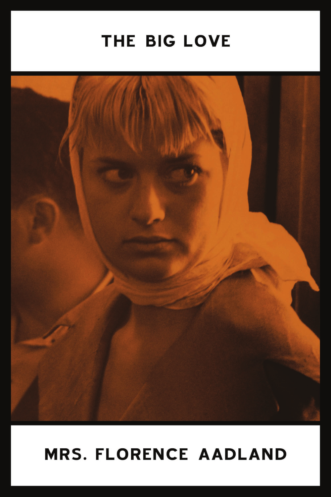# THE BIG LOVE



# **MRS. FLORENCE AADLAND**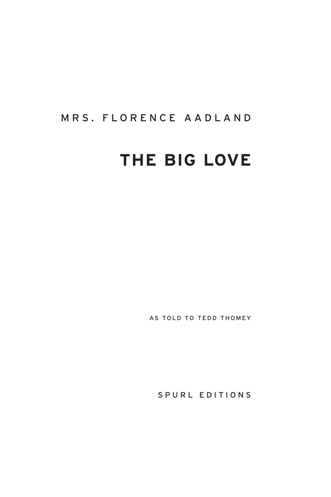#### MRS. FLORENCE AADLAND

## **THE BIG LOVE**

AS TOLD TO TEDD THOMEY

SPURL EDITIONS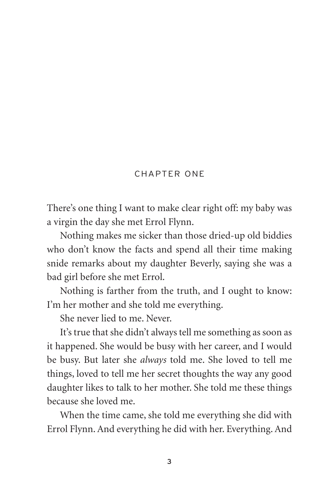#### CHAPTER ONE

There's one thing I want to make clear right off: my baby was a virgin the day she met Errol Flynn.

Nothing makes me sicker than those dried-up old biddies who don't know the facts and spend all their time making snide remarks about my daughter Beverly, saying she was a bad girl before she met Errol.

Nothing is farther from the truth, and I ought to know: I'm her mother and she told me everything.

She never lied to me. Never.

It's true that she didn't always tell me something as soon as it happened. She would be busy with her career, and I would be busy. But later she *always* told me. She loved to tell me things, loved to tell me her secret thoughts the way any good daughter likes to talk to her mother. She told me these things because she loved me.

When the time came, she told me everything she did with Errol Flynn. And everything he did with her. Everything. And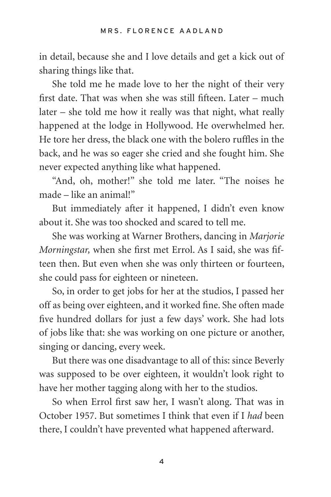in detail, because she and I love details and get a kick out of sharing things like that.

She told me he made love to her the night of their very first date. That was when she was still fifteen. Later – much later – she told me how it really was that night, what really happened at the lodge in Hollywood. He overwhelmed her. He tore her dress, the black one with the bolero ruffles in the back, and he was so eager she cried and she fought him. She never expected anything like what happened.

"And, oh, mother!" she told me later. "The noises he made – like an animal!"

But immediately after it happened, I didn't even know about it. She was too shocked and scared to tell me.

She was working at Warner Brothers, dancing in *Marjorie Morningstar,* when she first met Errol. As I said, she was fifteen then. But even when she was only thirteen or fourteen, she could pass for eighteen or nineteen.

So, in order to get jobs for her at the studios, I passed her off as being over eighteen, and it worked fine. She often made five hundred dollars for just a few days' work. She had lots of jobs like that: she was working on one picture or another, singing or dancing, every week.

But there was one disadvantage to all of this: since Beverly was supposed to be over eighteen, it wouldn't look right to have her mother tagging along with her to the studios.

So when Errol first saw her, I wasn't along. That was in October 1957. But sometimes I think that even if I *had* been there, I couldn't have prevented what happened afterward.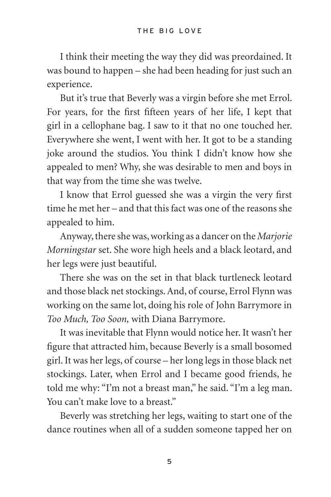I think their meeting the way they did was preordained. It was bound to happen – she had been heading for just such an experience.

But it's true that Beverly was a virgin before she met Errol. For years, for the first fifteen years of her life, I kept that girl in a cellophane bag. I saw to it that no one touched her. Everywhere she went, I went with her. It got to be a standing joke around the studios. You think I didn't know how she appealed to men? Why, she was desirable to men and boys in that way from the time she was twelve.

I know that Errol guessed she was a virgin the very first time he met her – and that this fact was one of the reasons she appealed to him.

Anyway, there she was, working as a dancer on the *Marjorie Morningstar* set. She wore high heels and a black leotard, and her legs were just beautiful.

There she was on the set in that black turtleneck leotard and those black net stockings. And, of course, Errol Flynn was working on the same lot, doing his role of John Barrymore in *Too Much, Too Soon,* with Diana Barrymore.

It was inevitable that Flynn would notice her. It wasn't her figure that attracted him, because Beverly is a small bosomed girl. It was her legs, of course – her long legs in those black net stockings. Later, when Errol and I became good friends, he told me why: "I'm not a breast man," he said. "I'm a leg man. You can't make love to a breast."

Beverly was stretching her legs, waiting to start one of the dance routines when all of a sudden someone tapped her on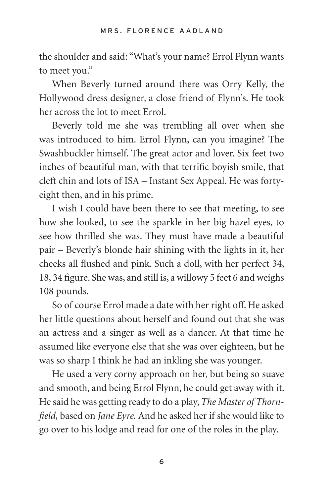the shoulder and said: "What's your name? Errol Flynn wants to meet you."

When Beverly turned around there was Orry Kelly, the Hollywood dress designer, a close friend of Flynn's. He took her across the lot to meet Errol.

Beverly told me she was trembling all over when she was introduced to him. Errol Flynn, can you imagine? The Swashbuckler himself. The great actor and lover. Six feet two inches of beautiful man, with that terrific boyish smile, that cleft chin and lots of ISA – Instant Sex Appeal. He was fortyeight then, and in his prime.

I wish I could have been there to see that meeting, to see how she looked, to see the sparkle in her big hazel eyes, to see how thrilled she was. They must have made a beautiful pair – Beverly's blonde hair shining with the lights in it, her cheeks all flushed and pink. Such a doll, with her perfect 34, 18, 34 figure. She was, and still is, a willowy 5 feet 6 and weighs 108 pounds.

So of course Errol made a date with her right off. He asked her little questions about herself and found out that she was an actress and a singer as well as a dancer. At that time he assumed like everyone else that she was over eighteen, but he was so sharp I think he had an inkling she was younger.

He used a very corny approach on her, but being so suave and smooth, and being Errol Flynn, he could get away with it. He said he was getting ready to do a play, *The Master of Thornfield,* based on *Jane Eyre.* And he asked her if she would like to go over to his lodge and read for one of the roles in the play.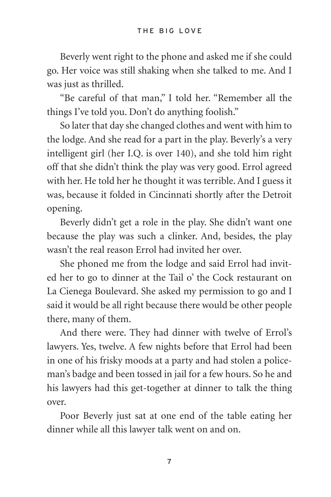Beverly went right to the phone and asked me if she could go. Her voice was still shaking when she talked to me. And I was just as thrilled.

"Be careful of that man," I told her. "Remember all the things I've told you. Don't do anything foolish."

So later that day she changed clothes and went with him to the lodge. And she read for a part in the play. Beverly's a very intelligent girl (her I.Q. is over 140), and she told him right off that she didn't think the play was very good. Errol agreed with her. He told her he thought it was terrible. And I guess it was, because it folded in Cincinnati shortly after the Detroit opening.

Beverly didn't get a role in the play. She didn't want one because the play was such a clinker. And, besides, the play wasn't the real reason Errol had invited her over.

She phoned me from the lodge and said Errol had invited her to go to dinner at the Tail o' the Cock restaurant on La Cienega Boulevard. She asked my permission to go and I said it would be all right because there would be other people there, many of them.

And there were. They had dinner with twelve of Errol's lawyers. Yes, twelve. A few nights before that Errol had been in one of his frisky moods at a party and had stolen a policeman's badge and been tossed in jail for a few hours. So he and his lawyers had this get-together at dinner to talk the thing over.

Poor Beverly just sat at one end of the table eating her dinner while all this lawyer talk went on and on.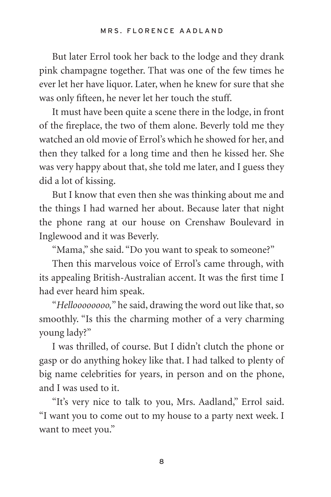But later Errol took her back to the lodge and they drank pink champagne together. That was one of the few times he ever let her have liquor. Later, when he knew for sure that she was only fifteen, he never let her touch the stuff.

It must have been quite a scene there in the lodge, in front of the fireplace, the two of them alone. Beverly told me they watched an old movie of Errol's which he showed for her, and then they talked for a long time and then he kissed her. She was very happy about that, she told me later, and I guess they did a lot of kissing.

But I know that even then she was thinking about me and the things I had warned her about. Because later that night the phone rang at our house on Crenshaw Boulevard in Inglewood and it was Beverly.

"Mama," she said. "Do you want to speak to someone?"

Then this marvelous voice of Errol's came through, with its appealing British-Australian accent. It was the first time I had ever heard him speak.

"*Helloooooooo,*" he said, drawing the word out like that, so smoothly. "Is this the charming mother of a very charming young lady?"

I was thrilled, of course. But I didn't clutch the phone or gasp or do anything hokey like that. I had talked to plenty of big name celebrities for years, in person and on the phone, and I was used to it.

"It's very nice to talk to you, Mrs. Aadland," Errol said. "I want you to come out to my house to a party next week. I want to meet you."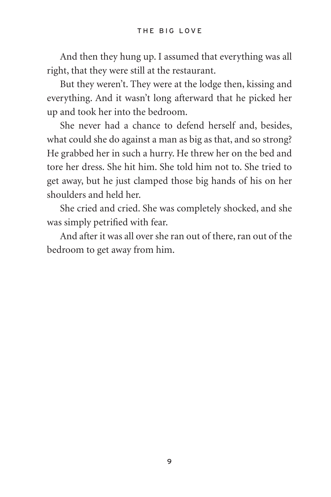And then they hung up. I assumed that everything was all right, that they were still at the restaurant.

But they weren't. They were at the lodge then, kissing and everything. And it wasn't long afterward that he picked her up and took her into the bedroom.

She never had a chance to defend herself and, besides, what could she do against a man as big as that, and so strong? He grabbed her in such a hurry. He threw her on the bed and tore her dress. She hit him. She told him not to. She tried to get away, but he just clamped those big hands of his on her shoulders and held her.

She cried and cried. She was completely shocked, and she was simply petrified with fear.

And after it was all over she ran out of there, ran out of the bedroom to get away from him.